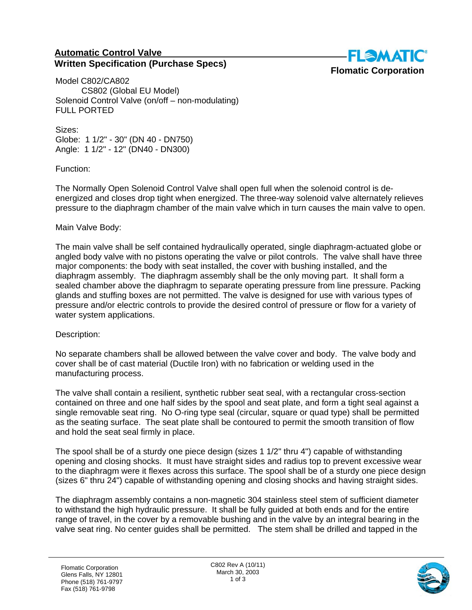## **Automatic Control Valve Written Specification (Purchase Specs)**



Model C802/CA802 CS802 (Global EU Model) Solenoid Control Valve (on/off – non-modulating) FULL PORTED

Sizes: Globe: 1 1/2" - 30" (DN 40 - DN750) Angle: 1 1/2" - 12" (DN40 - DN300)

Function:

The Normally Open Solenoid Control Valve shall open full when the solenoid control is deenergized and closes drop tight when energized. The three-way solenoid valve alternately relieves pressure to the diaphragm chamber of the main valve which in turn causes the main valve to open.

## Main Valve Body:

The main valve shall be self contained hydraulically operated, single diaphragm-actuated globe or angled body valve with no pistons operating the valve or pilot controls. The valve shall have three major components: the body with seat installed, the cover with bushing installed, and the diaphragm assembly. The diaphragm assembly shall be the only moving part. It shall form a sealed chamber above the diaphragm to separate operating pressure from line pressure. Packing glands and stuffing boxes are not permitted. The valve is designed for use with various types of pressure and/or electric controls to provide the desired control of pressure or flow for a variety of water system applications.

## Description:

No separate chambers shall be allowed between the valve cover and body. The valve body and cover shall be of cast material (Ductile Iron) with no fabrication or welding used in the manufacturing process.

The valve shall contain a resilient, synthetic rubber seat seal, with a rectangular cross-section contained on three and one half sides by the spool and seat plate, and form a tight seal against a single removable seat ring. No O-ring type seal (circular, square or quad type) shall be permitted as the seating surface. The seat plate shall be contoured to permit the smooth transition of flow and hold the seat seal firmly in place.

The spool shall be of a sturdy one piece design (sizes 1 1/2" thru 4") capable of withstanding opening and closing shocks. It must have straight sides and radius top to prevent excessive wear to the diaphragm were it flexes across this surface. The spool shall be of a sturdy one piece design (sizes 6" thru 24") capable of withstanding opening and closing shocks and having straight sides.

The diaphragm assembly contains a non-magnetic 304 stainless steel stem of sufficient diameter to withstand the high hydraulic pressure. It shall be fully guided at both ends and for the entire range of travel, in the cover by a removable bushing and in the valve by an integral bearing in the valve seat ring. No center guides shall be permitted. The stem shall be drilled and tapped in the

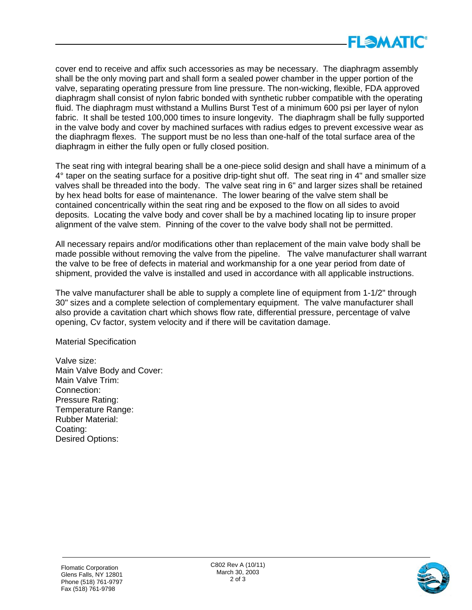

cover end to receive and affix such accessories as may be necessary. The diaphragm assembly shall be the only moving part and shall form a sealed power chamber in the upper portion of the valve, separating operating pressure from line pressure. The non-wicking, flexible, FDA approved diaphragm shall consist of nylon fabric bonded with synthetic rubber compatible with the operating fluid. The diaphragm must withstand a Mullins Burst Test of a minimum 600 psi per layer of nylon fabric. It shall be tested 100,000 times to insure longevity. The diaphragm shall be fully supported in the valve body and cover by machined surfaces with radius edges to prevent excessive wear as the diaphragm flexes. The support must be no less than one-half of the total surface area of the diaphragm in either the fully open or fully closed position.

The seat ring with integral bearing shall be a one-piece solid design and shall have a minimum of a 4° taper on the seating surface for a positive drip-tight shut off. The seat ring in 4" and smaller size valves shall be threaded into the body. The valve seat ring in 6" and larger sizes shall be retained by hex head bolts for ease of maintenance. The lower bearing of the valve stem shall be contained concentrically within the seat ring and be exposed to the flow on all sides to avoid deposits. Locating the valve body and cover shall be by a machined locating lip to insure proper alignment of the valve stem. Pinning of the cover to the valve body shall not be permitted.

All necessary repairs and/or modifications other than replacement of the main valve body shall be made possible without removing the valve from the pipeline. The valve manufacturer shall warrant the valve to be free of defects in material and workmanship for a one year period from date of shipment, provided the valve is installed and used in accordance with all applicable instructions.

The valve manufacturer shall be able to supply a complete line of equipment from 1-1/2" through 30" sizes and a complete selection of complementary equipment. The valve manufacturer shall also provide a cavitation chart which shows flow rate, differential pressure, percentage of valve opening, Cv factor, system velocity and if there will be cavitation damage.

Material Specification

Valve size: Main Valve Body and Cover: Main Valve Trim: Connection: Pressure Rating: Temperature Range: Rubber Material: Coating: Desired Options: